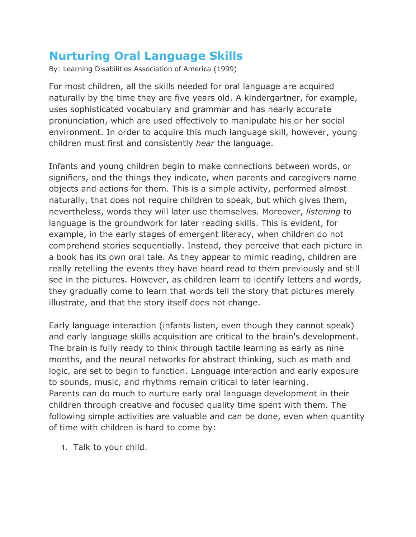## **Nurturing Oral Language Skills**

By: Learning Disabilities Association of America (1999)

For most children, all the skills needed for oral language are acquired naturally by the time they are five years old. A kindergartner, for example, uses sophisticated vocabulary and grammar and has nearly accurate pronunciation, which are used effectively to manipulate his or her social environment. In order to acquire this much language skill, however, young children must first and consistently *hear* the language.

Infants and young children begin to make connections between words, or signifiers, and the things they indicate, when parents and caregivers name objects and actions for them. This is a simple activity, performed almost naturally, that does not require children to speak, but which gives them, nevertheless, words they will later use themselves. Moreover, *listening* to language is the groundwork for later reading skills. This is evident, for example, in the early stages of emergent literacy, when children do not comprehend stories sequentially. Instead, they perceive that each picture in a book has its own oral tale. As they appear to mimic reading, children are really retelling the events they have heard read to them previously and still see in the pictures. However, as children learn to identify letters and words, they gradually come to learn that words tell the story that pictures merely illustrate, and that the story itself does not change.

Early language interaction (infants listen, even though they cannot speak) and early language skills acquisition are critical to the brain's development. The brain is fully ready to think through tactile learning as early as nine months, and the neural networks for abstract thinking, such as math and logic, are set to begin to function. Language interaction and early exposure to sounds, music, and rhythms remain critical to later learning. Parents can do much to nurture early oral language development in their children through creative and focused quality time spent with them. The following simple activities are valuable and can be done, even when quantity of time with children is hard to come by:

1. Talk to your child.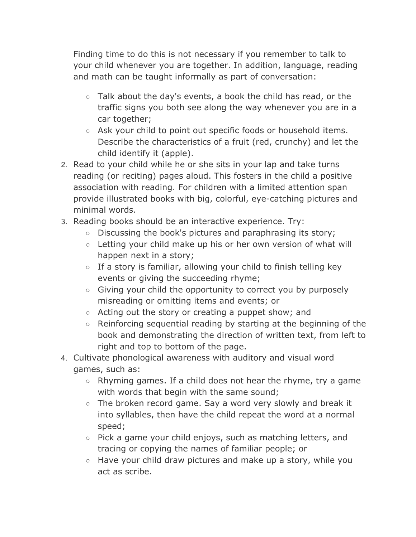Finding time to do this is not necessary if you remember to talk to your child whenever you are together. In addition, language, reading and math can be taught informally as part of conversation:

- $\circ$  Talk about the day's events, a book the child has read, or the traffic signs you both see along the way whenever you are in a car together;
- Ask your child to point out specific foods or household items. Describe the characteristics of a fruit (red, crunchy) and let the child identify it (apple).
- 2. Read to your child while he or she sits in your lap and take turns reading (or reciting) pages aloud. This fosters in the child a positive association with reading. For children with a limited attention span provide illustrated books with big, colorful, eye-catching pictures and minimal words.
- 3. Reading books should be an interactive experience. Try:
	- Discussing the book's pictures and paraphrasing its story;
	- Letting your child make up his or her own version of what will happen next in a story;
	- $\circ$  If a story is familiar, allowing your child to finish telling key events or giving the succeeding rhyme;
	- Giving your child the opportunity to correct you by purposely misreading or omitting items and events; or
	- Acting out the story or creating a puppet show; and
	- Reinforcing sequential reading by starting at the beginning of the book and demonstrating the direction of written text, from left to right and top to bottom of the page.
- 4. Cultivate phonological awareness with auditory and visual word games, such as:
	- $\circ$  Rhyming games. If a child does not hear the rhyme, try a game with words that begin with the same sound;
	- $\circ$  The broken record game. Say a word very slowly and break it into syllables, then have the child repeat the word at a normal speed;
	- Pick a game your child enjoys, such as matching letters, and tracing or copying the names of familiar people; or
	- Have your child draw pictures and make up a story, while you act as scribe.